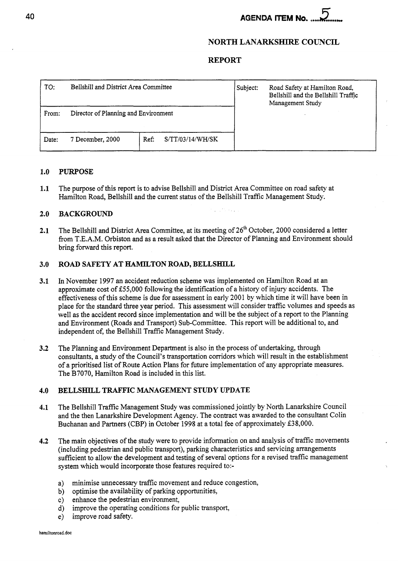# **AGENDA ITEM No.**

# **NORTH LANARKSHIRE COUNCIL**

### **REPORT**

| TO:   | Bellshill and District Area Committee |                          | Subject: | Road Safety at Hamilton Road,<br>Bellshill and the Bellshill Traffic<br>Management Study |
|-------|---------------------------------------|--------------------------|----------|------------------------------------------------------------------------------------------|
| From: | Director of Planning and Environment  |                          |          |                                                                                          |
| Date: | 7 December, 2000                      | S/TT/03/14/WH/SK<br>Ref: |          |                                                                                          |

#### **1.0**  <sup>1</sup>**PURPOSE**

**1.1**  The purpose of this report is to advise Bellshill and District Area Committee on road safety at Hamilton Road, Bellshill and the current status of the Bellshill Traffic Management Study.

#### **2.0 BACKGROUND**

**2.1**  The Bellshill and District Area Committee, at its meeting of *26\** October, 2000 considered a letter fiom T.E.A.M. Orbiston and as a result asked that the Director of Planning and Environment should bring forward this report.

#### **3.0 ROAD SAFETY AT HAMILTON ROAD, BELLSHILL**

- **3.1**  In November 1997 an accident reduction scheme was implemented on Hamilton Road at an approximate cost of 555,000 following the identification of a history of injury accidents. The effectiveness of this scheme is due for assessment in early 2001 by which time it will have been in place for the standard three year period. This assessment will consider traffic volumes and speeds as well as the accident record since implementation and will be the subject of a report to the Planning and Environment (Roads and Transport) Sub-Committee. This report will be additional to, and independent of, the Bellshill Traffic Management Study.
- **3.2**  The Planning and Environment Department is also in the process of undertaking, through consultants, a study of the Council's transportation corridors which will result in the establishment of a prioritised list of Route Action Plans for future implementation of any appropriate measures. The B7070, Hamilton Road is included in this list.

#### **4.0 BELLSHILL TRAFFIC MANAGEMENT STUDY UPDATE**

- **4.1**  The Bellshill Traffic Management Study was commissioned jointly by North Lanarkshire Council and the then Lanarkshire Development Agency. The contract was awarded to the consultant Colin Buchanan and Partners (CBP) in October 1998 at a total fee of approximately £38,000.
- **4.2**  The main objectives of the study were to provide information on and analysis of traffic movements (including pedestrian and public transport), parking characteristics and servicing arrangements sufficient to allow the development and testing of several options for a revised traffic management system which would incorporate those features required to:
	- a) minimise unnecessary traffic movement and reduce congestion,
	- b) optimise the availability of parking opportunities,
	- c) enhance the pedestrian environment,
	- d) improve the operating conditions for public transport,
	- e) improve road safety.